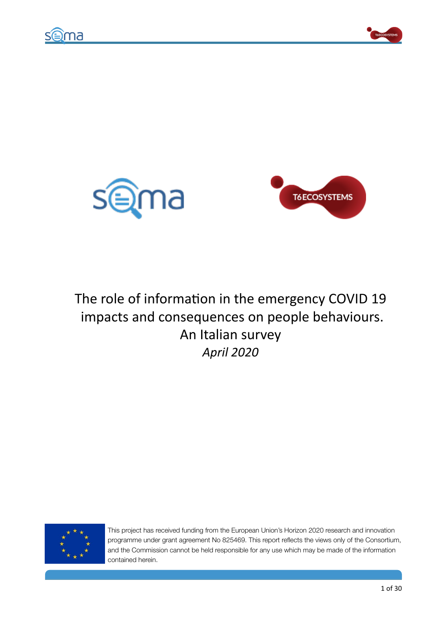







# The role of information in the emergency COVID 19 impacts and consequences on people behaviours. An Italian survey *April 2020*



This project has received funding from the European Union's Horizon 2020 research and innovation programme under grant agreement No 825469. This report reflects the views only of the Consortium, and the Commission cannot be held responsible for any use which may be made of the information contained herein.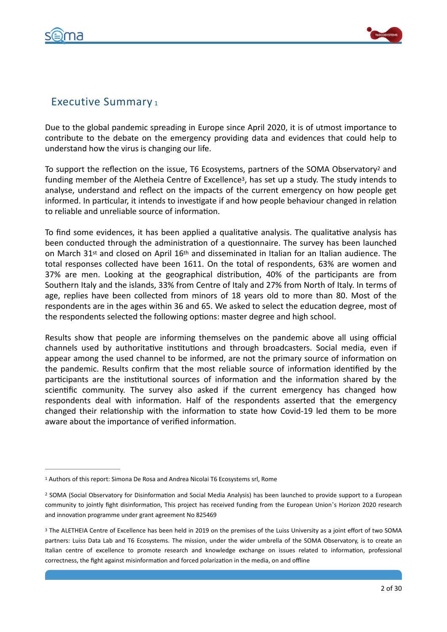

<span id="page-1-5"></span><span id="page-1-4"></span>

# <span id="page-1-3"></span>Executive Summary [1](#page-1-0)

Due to the global pandemic spreading in Europe since April 2020, it is of utmost importance to contribute to the debate on the emergency providing data and evidences that could help to understand how the virus is changing our life.

To support the reflection on the issue, T6 Ecosystems, partners of the SOMA Observatory<sup>[2](#page-1-1)</sup> and funding member of the Aletheia Centre of Excellence<sup>[3](#page-1-2)</sup>, has set up a study. The study intends to analyse, understand and reflect on the impacts of the current emergency on how people get informed. In particular, it intends to investigate if and how people behaviour changed in relation to reliable and unreliable source of information.

To find some evidences, it has been applied a qualitative analysis. The qualitative analysis has been conducted through the administration of a questionnaire. The survey has been launched on March  $31^{st}$  and closed on April  $16^{th}$  and disseminated in Italian for an Italian audience. The total responses collected have been 1611. On the total of respondents, 63% are women and 37% are men. Looking at the geographical distribution, 40% of the participants are from Southern Italy and the islands, 33% from Centre of Italy and 27% from North of Italy. In terms of age, replies have been collected from minors of 18 years old to more than 80. Most of the respondents are in the ages within 36 and 65. We asked to select the education degree, most of the respondents selected the following options: master degree and high school.

Results show that people are informing themselves on the pandemic above all using official channels used by authoritative institutions and through broadcasters. Social media, even if appear among the used channel to be informed, are not the primary source of information on the pandemic. Results confirm that the most reliable source of information identified by the participants are the institutional sources of information and the information shared by the scientific community. The survey also asked if the current emergency has changed how respondents deal with information. Half of the respondents asserted that the emergency changed their relationship with the information to state how Covid-19 led them to be more aware about the importance of verified information.

<span id="page-1-0"></span><sup>&</sup>lt;sup>[1](#page-1-3)</sup> Authors of this report: Simona De Rosa and Andrea Nicolai T6 Ecosystems srl, Rome

<span id="page-1-1"></span><sup>&</sup>lt;sup>[2](#page-1-4)</sup> SOMA (Social Observatory for Disinformation and Social Media Analysis) has been launched to provide support to a European community to jointly fight disinformation, This project has received funding from the European Union's Horizon 2020 research and innovation programme under grant agreement No 825469

<span id="page-1-2"></span><sup>&</sup>lt;sup>[3](#page-1-5)</sup> The ALETHEIA Centre of Excellence has been held in 2019 on the premises of the Luiss University as a joint effort of two SOMA partners: Luiss Data Lab and T6 Ecosystems. The mission, under the wider umbrella of the SOMA Observatory, is to create an Italian centre of excellence to promote research and knowledge exchange on issues related to information, professional correctness, the fight against misinformation and forced polarization in the media, on and offline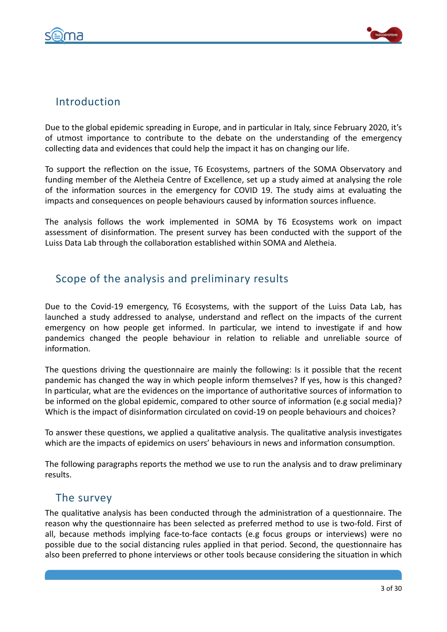



# Introduction

Due to the global epidemic spreading in Europe, and in particular in Italy, since February 2020, it's of utmost importance to contribute to the debate on the understanding of the emergency collecting data and evidences that could help the impact it has on changing our life.

To support the reflection on the issue, T6 Ecosystems, partners of the SOMA Observatory and funding member of the Aletheia Centre of Excellence, set up a study aimed at analysing the role of the information sources in the emergency for COVID 19. The study aims at evaluating the impacts and consequences on people behaviours caused by information sources influence.

The analysis follows the work implemented in SOMA by T6 Ecosystems work on impact assessment of disinformation. The present survey has been conducted with the support of the Luiss Data Lab through the collaboration established within SOMA and Aletheia.

# Scope of the analysis and preliminary results

Due to the Covid-19 emergency, T6 Ecosystems, with the support of the Luiss Data Lab, has launched a study addressed to analyse, understand and reflect on the impacts of the current emergency on how people get informed. In particular, we intend to investigate if and how pandemics changed the people behaviour in relation to reliable and unreliable source of information.

The questions driving the questionnaire are mainly the following: Is it possible that the recent pandemic has changed the way in which people inform themselves? If yes, how is this changed? In particular, what are the evidences on the importance of authoritative sources of information to be informed on the global epidemic, compared to other source of information (e.g social media)? Which is the impact of disinformation circulated on covid-19 on people behaviours and choices?

To answer these questions, we applied a qualitative analysis. The qualitative analysis investigates which are the impacts of epidemics on users' behaviours in news and information consumption.

The following paragraphs reports the method we use to run the analysis and to draw preliminary results. 

# The survey

The qualitative analysis has been conducted through the administration of a questionnaire. The reason why the questionnaire has been selected as preferred method to use is two-fold. First of all, because methods implying face-to-face contacts (e.g focus groups or interviews) were no possible due to the social distancing rules applied in that period. Second, the questionnaire has also been preferred to phone interviews or other tools because considering the situation in which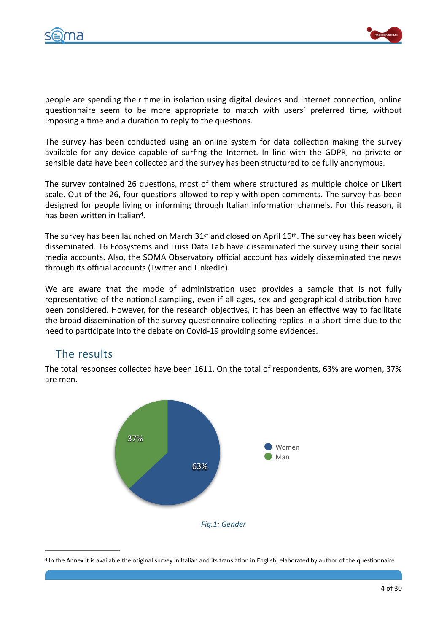



people are spending their time in isolation using digital devices and internet connection, online questionnaire seem to be more appropriate to match with users' preferred time, without imposing a time and a duration to reply to the questions.

The survey has been conducted using an online system for data collection making the survey available for any device capable of surfing the Internet. In line with the GDPR, no private or sensible data have been collected and the survey has been structured to be fully anonymous.

The survey contained 26 questions, most of them where structured as multiple choice or Likert scale. Out of the 26, four questions allowed to reply with open comments. The survey has been designed for people living or informing through Italian information channels. For this reason, it has been written in Italian<sup>[4](#page-3-0)</sup>.

<span id="page-3-1"></span>The survey has been launched on March  $31st$  and closed on April  $16th$ . The survey has been widely disseminated. T6 Ecosystems and Luiss Data Lab have disseminated the survey using their social media accounts. Also, the SOMA Observatory official account has widely disseminated the news through its official accounts (Twitter and LinkedIn).

We are aware that the mode of administration used provides a sample that is not fully representative of the national sampling, even if all ages, sex and geographical distribution have been considered. However, for the research objectives, it has been an effective way to facilitate the broad dissemination of the survey questionnaire collecting replies in a short time due to the need to participate into the debate on Covid-19 providing some evidences.

# The results

The total responses collected have been 1611. On the total of respondents, 63% are women, 37% are men.



<span id="page-3-0"></span>[4](#page-3-1) In the Annex it is available the original survey in Italian and its translation in English, elaborated by author of the questionnaire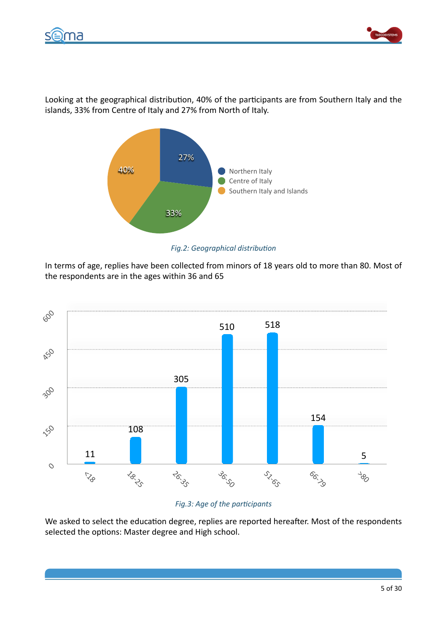



Looking at the geographical distribution, 40% of the participants are from Southern Italy and the islands, 33% from Centre of Italy and 27% from North of Italy.



**Fig.2: Geographical distribution** 

In terms of age, replies have been collected from minors of 18 years old to more than 80. Most of the respondents are in the ages within 36 and 65



# *Fig.3: Age of the participants*

We asked to select the education degree, replies are reported hereafter. Most of the respondents selected the options: Master degree and High school.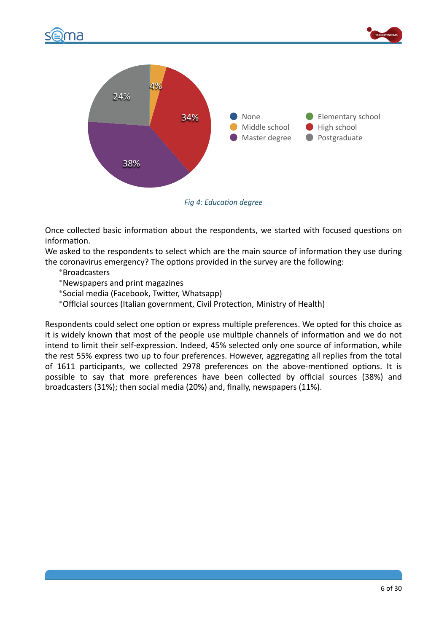





**Fig 4: Education degree** 

Once collected basic information about the respondents, we started with focused questions on information.

We asked to the respondents to select which are the main source of information they use during the coronavirus emergency? The options provided in the survey are the following:

•Broadcasters 

•Newspapers and print magazines 

\*Social media (Facebook, Twitter, Whatsapp)

• Official sources (Italian government, Civil Protection, Ministry of Health)

Respondents could select one option or express multiple preferences. We opted for this choice as it is widely known that most of the people use multiple channels of information and we do not intend to limit their self-expression. Indeed, 45% selected only one source of information, while the rest 55% express two up to four preferences. However, aggregating all replies from the total of 1611 participants, we collected 2978 preferences on the above-mentioned options. It is possible to say that more preferences have been collected by official sources (38%) and broadcasters (31%); then social media (20%) and, finally, newspapers (11%).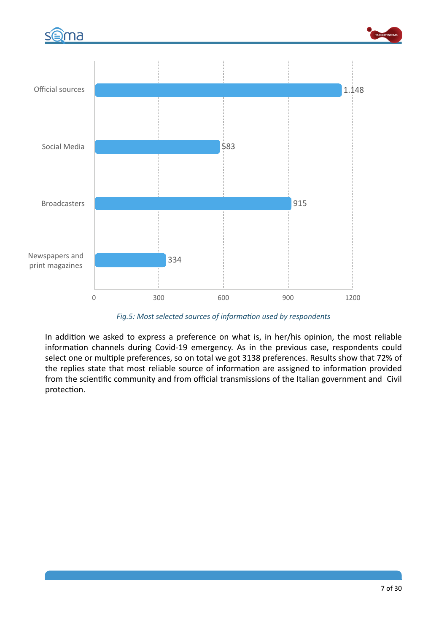

Fig.5: Most selected sources of information used by respondents

In addition we asked to express a preference on what is, in her/his opinion, the most reliable information channels during Covid-19 emergency. As in the previous case, respondents could select one or multiple preferences, so on total we got 3138 preferences. Results show that 72% of the replies state that most reliable source of information are assigned to information provided from the scientific community and from official transmissions of the Italian government and Civil protection.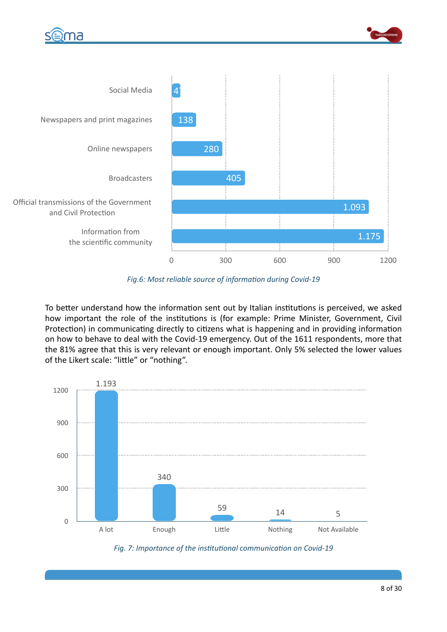





Fig.6: Most reliable source of information during Covid-19

To better understand how the information sent out by Italian institutions is perceived, we asked how important the role of the institutions is (for example: Prime Minister, Government, Civil Protection) in communicating directly to citizens what is happening and in providing information on how to behave to deal with the Covid-19 emergency. Out of the 1611 respondents, more that the 81% agree that this is very relevant or enough important. Only 5% selected the lower values of the Likert scale: "little" or "nothing".



Fig. 7: Importance of the institutional communication on Covid-19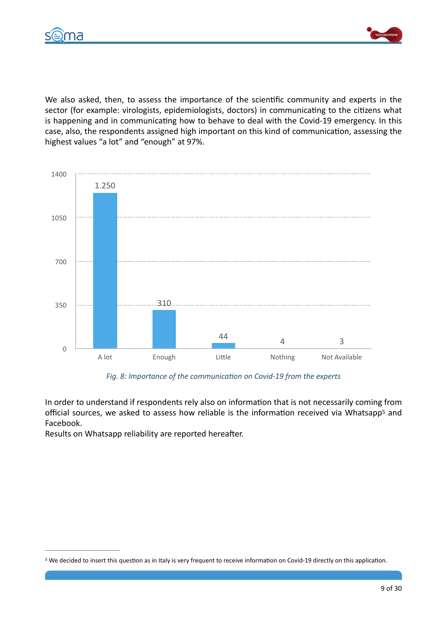



We also asked, then, to assess the importance of the scientific community and experts in the sector (for example: virologists, epidemiologists, doctors) in communicating to the citizens what is happening and in communicating how to behave to deal with the Covid-19 emergency. In this case, also, the respondents assigned high important on this kind of communication, assessing the highest values "a lot" and "enough" at 97%.



<span id="page-8-1"></span>Fig. 8: Importance of the communication on Covid-19 from the experts

In order to understand if respondents rely also on information that is not necessarily coming from official sources, we asked to assess how reliable is the information received via Whatsapp<sup>[5](#page-8-0)</sup> and Facebook. 

Results on Whatsapp reliability are reported hereafter.

<span id="page-8-0"></span>[<sup>5</sup>](#page-8-1) We decided to insert this question as in Italy is very frequent to receive information on Covid-19 directly on this application.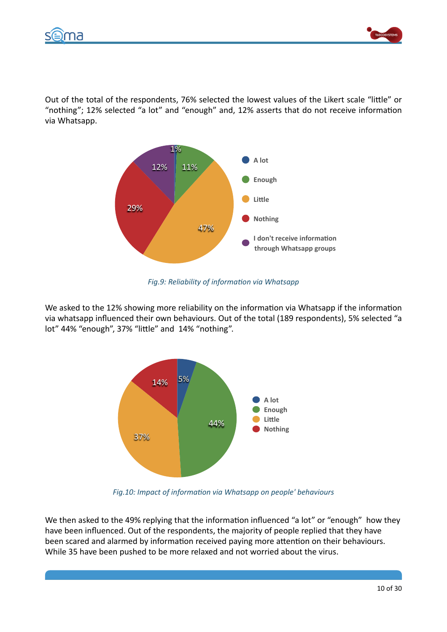



Out of the total of the respondents, 76% selected the lowest values of the Likert scale "little" or "nothing"; 12% selected "a lot" and "enough" and, 12% asserts that do not receive information via Whatsapp.



*Fig.9: Reliability of information via Whatsapp* 

We asked to the 12% showing more reliability on the information via Whatsapp if the information via whatsapp influenced their own behaviours. Out of the total (189 respondents), 5% selected "a lot" 44% "enough", 37% "little" and 14% "nothing".



*Fig.10: Impact of information via Whatsapp on people' behaviours* 

We then asked to the 49% replying that the information influenced "a lot" or "enough" how they have been influenced. Out of the respondents, the majority of people replied that they have been scared and alarmed by information received paying more attention on their behaviours. While 35 have been pushed to be more relaxed and not worried about the virus.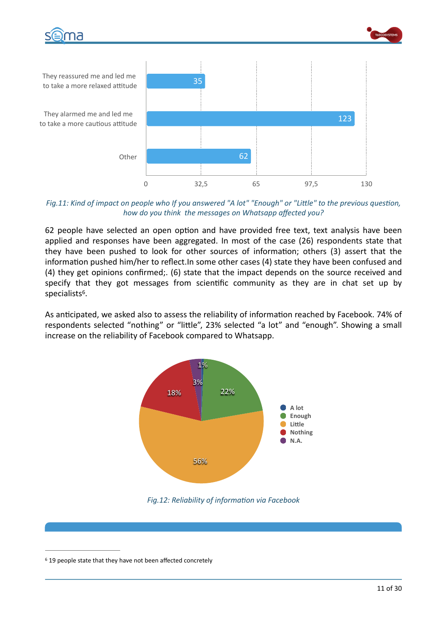



They reassured me and led me to take a more relaxed attitude They alarmed me and led me to take a more cautious attitude Other 0 32,5 65 97,5 130 62 123 35

### Fig.11: Kind of impact on people who If you answered "A lot" "Enough" or "Little" to the previous question, *how do you think the messages on Whatsapp affected you?*

62 people have selected an open option and have provided free text, text analysis have been applied and responses have been aggregated. In most of the case (26) respondents state that they have been pushed to look for other sources of information; others (3) assert that the information pushed him/her to reflect.In some other cases (4) state they have been confused and (4) they get opinions confirmed;. (6) state that the impact depends on the source received and specify that they got messages from scientific community as they are in chat set up by specialists<sup>[6](#page-10-0)</sup>.

<span id="page-10-1"></span>As anticipated, we asked also to assess the reliability of information reached by Facebook. 74% of respondents selected "nothing" or "little", 23% selected "a lot" and "enough". Showing a small increase on the reliability of Facebook compared to Whatsapp.



Fig.12: Reliability of information via Facebook

<span id="page-10-0"></span><sup>&</sup>lt;sup>[6](#page-10-1)</sup> 19 people state that they have not been affected concretely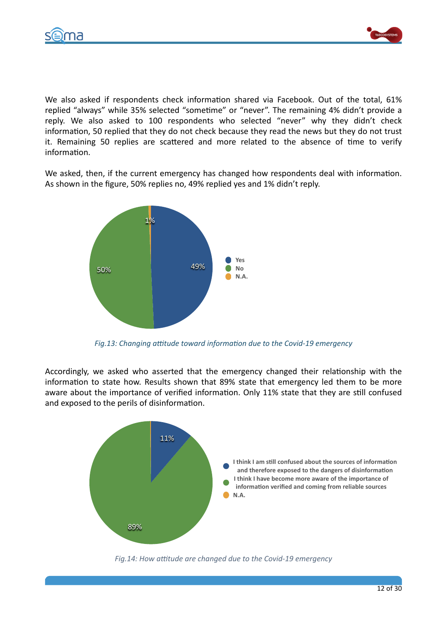



We also asked if respondents check information shared via Facebook. Out of the total, 61% replied "always" while 35% selected "sometime" or "never". The remaining 4% didn't provide a reply. We also asked to 100 respondents who selected "never" why they didn't check information, 50 replied that they do not check because they read the news but they do not trust it. Remaining 50 replies are scattered and more related to the absence of time to verify information.

We asked, then, if the current emergency has changed how respondents deal with information. As shown in the figure, 50% replies no, 49% replied yes and 1% didn't reply.



*Fig.13: Changing attitude toward information due to the Covid-19 emergency* 

Accordingly, we asked who asserted that the emergency changed their relationship with the information to state how. Results shown that 89% state that emergency led them to be more aware about the importance of verified information. Only 11% state that they are still confused and exposed to the perils of disinformation.



Fig.14: How attitude are changed due to the Covid-19 emergency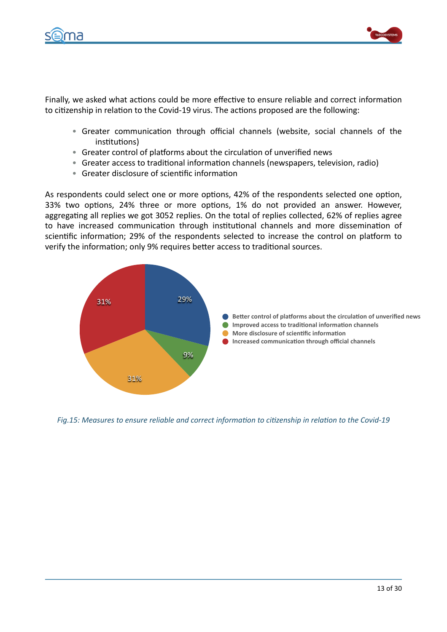



Finally, we asked what actions could be more effective to ensure reliable and correct information to citizenship in relation to the Covid-19 virus. The actions proposed are the following:

- Greater communication through official channels (website, social channels of the institutions)
- Greater control of platforms about the circulation of unverified news
- Greater access to traditional information channels (newspapers, television, radio)
- Greater disclosure of scientific information

As respondents could select one or more options, 42% of the respondents selected one option, 33% two options, 24% three or more options, 1% do not provided an answer. However, aggregating all replies we got 3052 replies. On the total of replies collected, 62% of replies agree to have increased communication through institutional channels and more dissemination of scientific information; 29% of the respondents selected to increase the control on platform to verify the information; only 9% requires better access to traditional sources.



Fig.15: Measures to ensure reliable and correct information to citizenship in relation to the Covid-19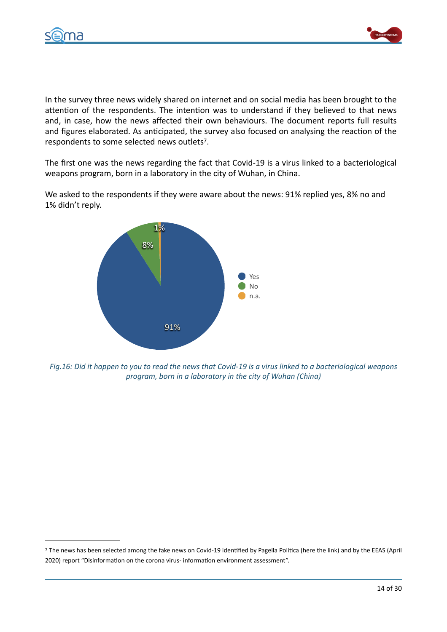



In the survey three news widely shared on internet and on social media has been brought to the attention of the respondents. The intention was to understand if they believed to that news and, in case, how the news affected their own behaviours. The document reports full results and figures elaborated. As anticipated, the survey also focused on analysing the reaction of the respondents to some selected news outlets<sup>[7](#page-13-0)</sup>.

The first one was the news regarding the fact that Covid-19 is a virus linked to a bacteriological weapons program, born in a laboratory in the city of Wuhan, in China.

We asked to the respondents if they were aware about the news: 91% replied yes, 8% no and 1% didn't reply.

<span id="page-13-1"></span>

*Fig.16:* Did it happen to you to read the news that Covid-19 is a virus linked to a bacteriological weapons *program, born in a laboratory in the city of Wuhan (China)* 

<span id="page-13-0"></span>[<sup>7</sup>](#page-13-1) The news has been selected among the fake news on Covid-19 identified by Pagella Politica (here the link) and by the EEAS (April 2020) report "Disinformation on the corona virus- information environment assessment".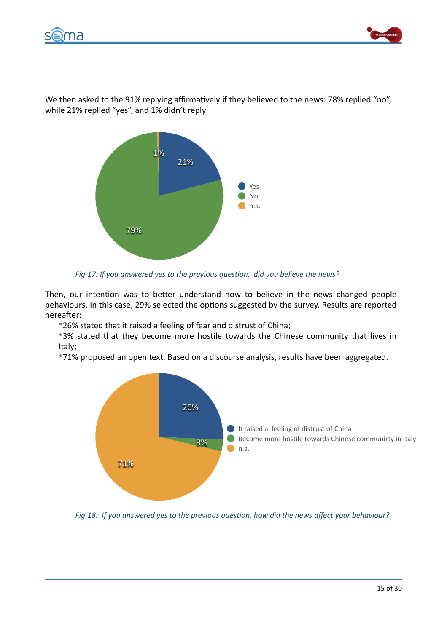



We then asked to the 91% replying affirmatively if they believed to the news: 78% replied "no", while 21% replied "yes", and 1% didn't reply



Fig.17: If you answered yes to the previous question, did you believe the news?

Then, our intention was to better understand how to believe in the news changed people behaviours. In this case, 29% selected the options suggested by the survey. Results are reported hereafter:

\*26% stated that it raised a feeling of fear and distrust of China;

\*3% stated that they become more hostile towards the Chinese community that lives in Italy; 

\*71% proposed an open text. Based on a discourse analysis, results have been aggregated.



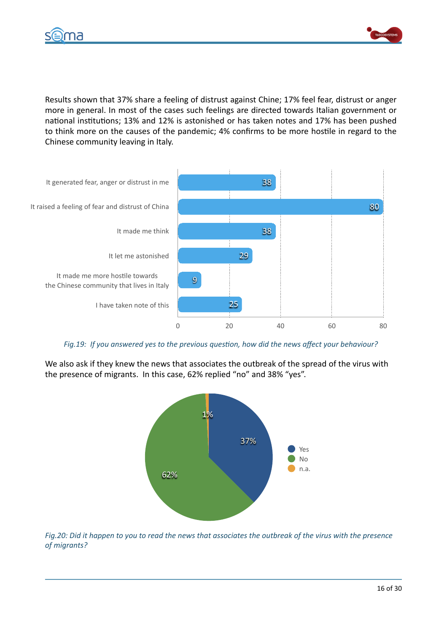



Results shown that 37% share a feeling of distrust against Chine; 17% feel fear, distrust or anger more in general. In most of the cases such feelings are directed towards Italian government or national institutions; 13% and 12% is astonished or has taken notes and 17% has been pushed to think more on the causes of the pandemic; 4% confirms to be more hostile in regard to the Chinese community leaving in Italy.



Fig.19: If you answered yes to the previous question, how did the news affect your behaviour?

We also ask if they knew the news that associates the outbreak of the spread of the virus with the presence of migrants. In this case, 62% replied "no" and 38% "yes".



*Fig.20: Did it happen to you to read the news that associates the outbreak of the virus with the presence of migrants?*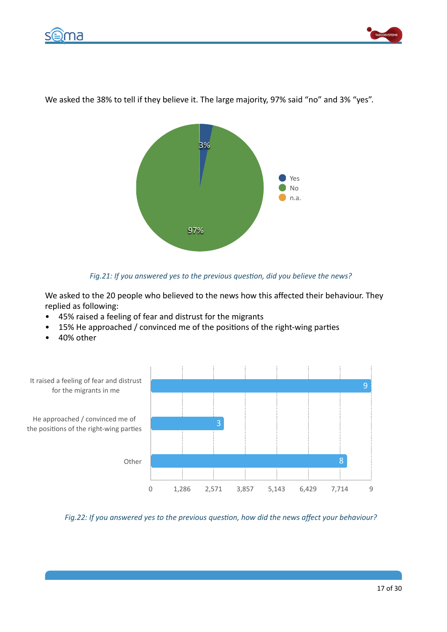



97% 3% Yes No n.a.

We asked the 38% to tell if they believe it. The large majority, 97% said "no" and 3% "yes".

### Fig.21: If you answered yes to the previous question, did you believe the news?

We asked to the 20 people who believed to the news how this affected their behaviour. They replied as following:

- 45% raised a feeling of fear and distrust for the migrants
- 15% He approached / convinced me of the positions of the right-wing parties
- 40% other



Fig.22: If you answered yes to the previous question, how did the news affect your behaviour?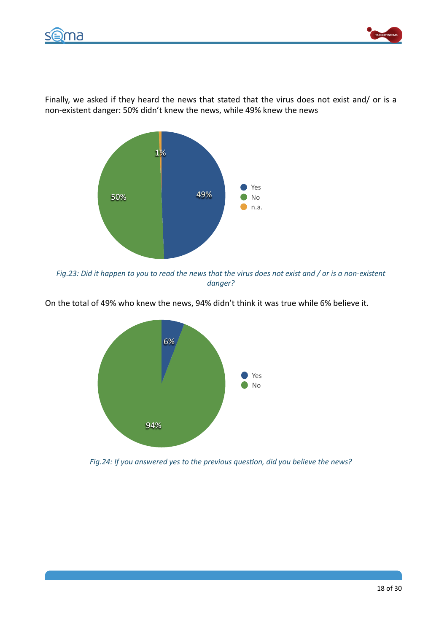



Finally, we asked if they heard the news that stated that the virus does not exist and/ or is a non-existent danger: 50% didn't knew the news, while 49% knew the news



*Fig.23:* Did it happen to you to read the news that the virus does not exist and / or is a non-existent *danger?* 



On the total of 49% who knew the news, 94% didn't think it was true while 6% believe it.

Fig.24: If you answered yes to the previous question, did you believe the news?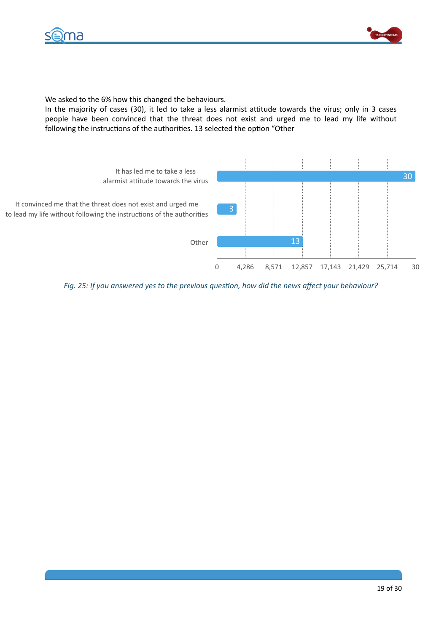



We asked to the 6% how this changed the behaviours.

In the majority of cases (30), it led to take a less alarmist attitude towards the virus; only in 3 cases people have been convinced that the threat does not exist and urged me to lead my life without following the instructions of the authorities. 13 selected the option "Other



Fig. 25: If you answered yes to the previous question, how did the news affect your behaviour?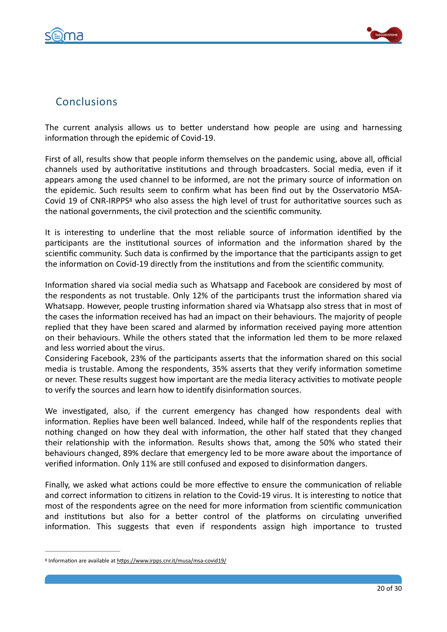



# **Conclusions**

The current analysis allows us to better understand how people are using and harnessing information through the epidemic of Covid-19.

First of all, results show that people inform themselves on the pandemic using, above all, official channels used by authoritative institutions and through broadcasters. Social media, even if it appears among the used channel to be informed, are not the primary source of information on the epidemic. Such results seem to confirm what has been find out by the Osservatorio MSA-Covid 19 of CNR-IRPPS<sup>[8](#page-19-0)</sup> who also assess the high level of trust for authoritative sources such as the national governments, the civil protection and the scientific community.

<span id="page-19-1"></span>It is interesting to underline that the most reliable source of information identified by the participants are the institutional sources of information and the information shared by the scientific community. Such data is confirmed by the importance that the participants assign to get the information on Covid-19 directly from the institutions and from the scientific community.

Information shared via social media such as Whatsapp and Facebook are considered by most of the respondents as not trustable. Only 12% of the participants trust the information shared via Whatsapp. However, people trusting information shared via Whatsapp also stress that in most of the cases the information received has had an impact on their behaviours. The majority of people replied that they have been scared and alarmed by information received paying more attention on their behaviours. While the others stated that the information led them to be more relaxed and less worried about the virus.

Considering Facebook, 23% of the participants asserts that the information shared on this social media is trustable. Among the respondents, 35% asserts that they verify information sometime or never. These results suggest how important are the media literacy activities to motivate people to verify the sources and learn how to identify disinformation sources.

We investigated, also, if the current emergency has changed how respondents deal with information. Replies have been well balanced. Indeed, while half of the respondents replies that nothing changed on how they deal with information, the other half stated that they changed their relationship with the information. Results shows that, among the 50% who stated their behaviours changed, 89% declare that emergency led to be more aware about the importance of verified information. Only 11% are still confused and exposed to disinformation dangers.

Finally, we asked what actions could be more effective to ensure the communication of reliable and correct information to citizens in relation to the Covid-19 virus. It is interesting to notice that most of the respondents agree on the need for more information from scientific communication and institutions but also for a better control of the platforms on circulating unverified information. This suggests that even if respondents assign high importance to trusted

<span id="page-19-0"></span><sup>&</sup>lt;sup>[8](#page-19-1)</sup> Information are available at https://www.irpps.cnr.it/musa/msa-covid19/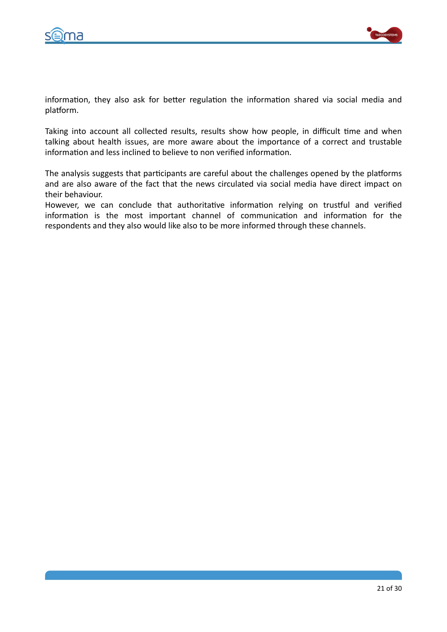



information, they also ask for better regulation the information shared via social media and platform.

Taking into account all collected results, results show how people, in difficult time and when talking about health issues, are more aware about the importance of a correct and trustable information and less inclined to believe to non verified information.

The analysis suggests that participants are careful about the challenges opened by the platforms and are also aware of the fact that the news circulated via social media have direct impact on their behaviour.

However, we can conclude that authoritative information relying on trustful and verified information is the most important channel of communication and information for the respondents and they also would like also to be more informed through these channels.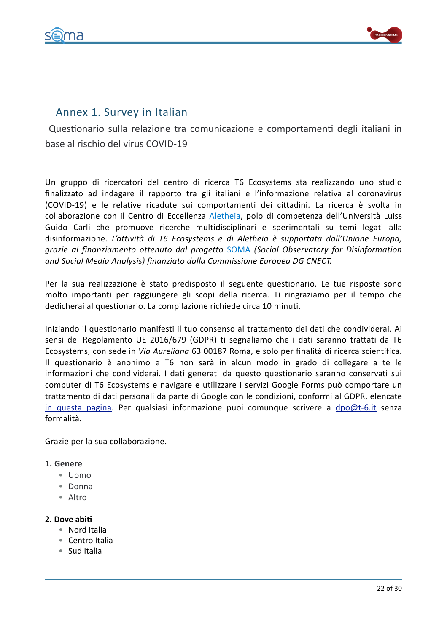



# Annex 1. Survey in Italian

Questionario sulla relazione tra comunicazione e comportamenti degli italiani in base al rischio del virus COVID-19

Un gruppo di ricercatori del centro di ricerca T6 Ecosystems sta realizzando uno studio finalizzato ad indagare il rapporto tra gli italiani e l'informazione relativa al coronavirus (COVID-19) e le relative ricadute sui comportamenti dei cittadini. La ricerca è svolta in collaborazione con il Centro di Eccellenza [Aletheia](https://datalab.luiss.it/aletheia-2/?lang=en&doing_wp_cron=1585240669.6947669982910156250000), polo di competenza dell'Università Luiss Guido Carli che promuove ricerche multidisciplinari e sperimentali su temi legati alla disinformazione. *L'attività di T6 Ecosystems e di Aletheia* è supportata dall'Unione Europa, *grazie* al finanziamento ottenuto dal progetto **[SOMA](https://www.disinfobservatory.org/)** (Social Observatory for Disinformation and Social Media Analysis) finanziato dalla Commissione Europea DG CNECT.

Per la sua realizzazione è stato predisposto il seguente questionario. Le tue risposte sono molto importanti per raggiungere gli scopi della ricerca. Ti ringraziamo per il tempo che dedicherai al questionario. La compilazione richiede circa 10 minuti.

Iniziando il questionario manifesti il tuo consenso al trattamento dei dati che condividerai. Ai sensi del Regolamento UE 2016/679 (GDPR) ti segnaliamo che i dati saranno trattati da T6 Ecosystems, con sede in *Via Aureliana* 63 00187 Roma, e solo per finalità di ricerca scientifica. Il questionario è anonimo e T6 non sarà in alcun modo in grado di collegare a te le informazioni che condividerai. I dati generati da questo questionario saranno conservati sui computer di T6 Ecosystems e navigare e utilizzare i servizi Google Forms può comportare un trattamento di dati personali da parte di Google con le condizioni, conformi al GDPR, elencate in questa pagina. Per qualsiasi informazione puoi comunque scrivere a [dpo@t-6.it](mailto:dpo@t-6.it) senza formalità. 

Grazie per la sua collaborazione.

# 1. Genere

- Uomo
- Donna
- Altro

# **2.** Dove abiti

- Nord Italia
- Centro Italia
- Sud Italia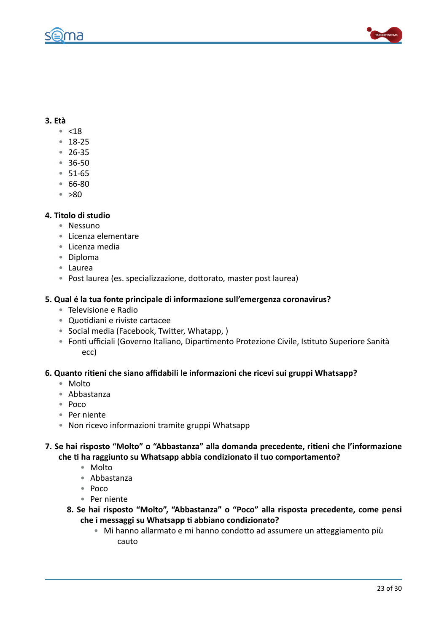



# **3. Età**

- $< 18$
- 18-25
- 26-35
- 36-50
- 51-65
- 66-80
- $\approx$  >80

# **4. Titolo di studio**

- Nessuno
- Licenza elementare
- Licenza media
- Diploma
- Laurea
- Post laurea (es. specializzazione, dottorato, master post laurea)

# **5.** Qual é la tua fonte principale di informazione sull'emergenza coronavirus?

- Televisione e Radio
- Quotidiani e riviste cartacee
- Social media (Facebook, Twitter, Whatapp, )
- Fonti ufficiali (Governo Italiano, Dipartimento Protezione Civile, Istituto Superiore Sanità ecc)

#### 6. Quanto ritieni che siano affidabili le informazioni che ricevi sui gruppi Whatsapp?

- Molto
- Abbastanza
- Poco
- Per niente
- Non ricevo informazioni tramite gruppi Whatsapp

7. Se hai risposto "Molto" o "Abbastanza" alla domanda precedente, ritieni che l'informazione che ti ha raggiunto su Whatsapp abbia condizionato il tuo comportamento?

- Molto
- Abbastanza
- Poco
- Per niente
- 8. Se hai risposto "Molto", "Abbastanza" o "Poco" alla risposta precedente, come pensi che i messaggi su Whatsapp ti abbiano condizionato?
	- Mi hanno allarmato e mi hanno condotto ad assumere un atteggiamento più cauto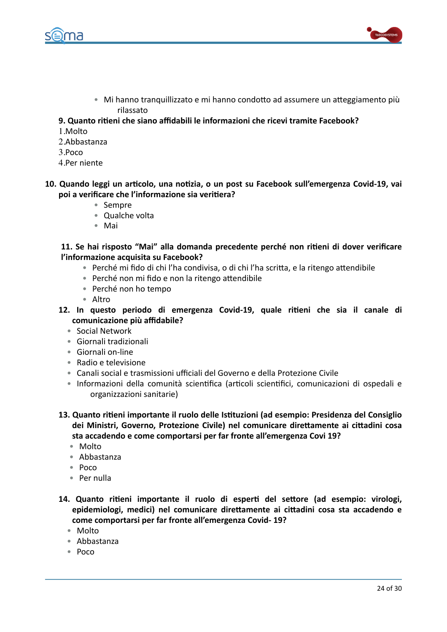

- Mi hanno tranquillizzato e mi hanno condotto ad assumere un atteggiamento più rilassato
- **9. Quanto ritieni che siano affidabili le informazioni che ricevi tramite Facebook?**
- 1.Molto
- 2.Abbastanza
- 3.Poco
- 4.Per niente
- 10. Quando leggi un articolo, una notizia, o un post su Facebook sull'emergenza Covid-19, vai poi a verificare che l'informazione sia veritiera?
	- Sempre
	- Qualche volta
	- Mai

# 11. Se hai risposto "Mai" alla domanda precedente perché non ritieni di dover verificare **l'informazione acquisita su Facebook?**

- Perché mi fido di chi l'ha condivisa, o di chi l'ha scritta, e la ritengo attendibile
- Perché non mi fido e non la ritengo attendibile
- Perché non ho tempo
- Altro
- 12. In questo periodo di emergenza Covid-19, quale ritieni che sia il canale di comunicazione più affidabile?
	- Social Network
	- Giornali tradizionali
	- Giornali on-line
	- Radio e televisione
	- Canali social e trasmissioni ufficiali del Governo e della Protezione Civile
	- Informazioni della comunità scientifica (articoli scientifici, comunicazioni di ospedali e organizzazioni sanitarie)
- **13. Quanto ritieni importante il ruolo delle Istituzioni (ad esempio: Presidenza del Consiglio** dei Ministri, Governo, Protezione Civile) nel comunicare direttamente ai cittadini cosa sta accadendo e come comportarsi per far fronte all'emergenza Covi 19?
	- Molto
	- Abbastanza
	- Poco
	- Per nulla
- 14. Quanto ritieni importante il ruolo di esperti del settore (ad esempio: virologi, epidemiologi, medici) nel comunicare direttamente ai cittadini cosa sta accadendo e come comportarsi per far fronte all'emergenza Covid- 19?
	- Molto
	- Abbastanza
	- Poco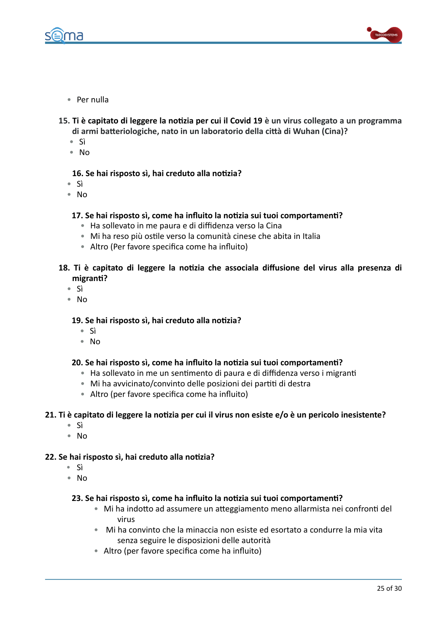



- Per nulla
- 15. Ti è capitato di leggere la notizia per cui il Covid 19 è un virus collegato a un programma di armi batteriologiche, nato in un laboratorio della città di Wuhan (Cina)?
	- Sì
	- No

# 16. Se hai risposto sì, hai creduto alla notizia?

- Sì
- No

### **17.** Se hai risposto sì, come ha influito la notizia sui tuoi comportamenti?

- Ha sollevato in me paura e di diffidenza verso la Cina
- Mi ha reso più ostile verso la comunità cinese che abita in Italia
- Altro (Per favore specifica come ha influito)

# 18. Ti è capitato di leggere la notizia che associala diffusione del virus alla presenza di migranti?

- Sì
- No

#### 19. Se hai risposto sì, hai creduto alla notizia?

- Sì
- No

#### **20.** Se hai risposto sì, come ha influito la notizia sui tuoi comportamenti?

- Ha sollevato in me un sentimento di paura e di diffidenza verso i migranti
- Mi ha avvicinato/convinto delle posizioni dei partiti di destra
- Altro (per favore specifica come ha influito)

#### 21. Ti è capitato di leggere la notizia per cui il virus non esiste e/o è un pericolo inesistente?

- Sì
- No

#### **22.** Se hai risposto sì, hai creduto alla notizia?

- Sì
- No

#### **23.** Se hai risposto sì, come ha influito la notizia sui tuoi comportamenti?

- Mi ha indotto ad assumere un atteggiamento meno allarmista nei confronti del virus
- Mi ha convinto che la minaccia non esiste ed esortato a condurre la mia vita senza seguire le disposizioni delle autorità
- Altro (per favore specifica come ha influito)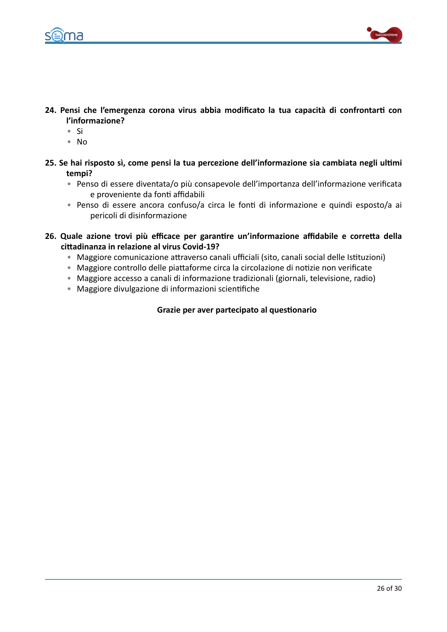



- 24. Pensi che l'emergenza corona virus abbia modificato la tua capacità di confrontarti con **l'informazione?** 
	- Si
	- No
- 25. Se hai risposto sì, come pensi la tua percezione dell'informazione sia cambiata negli ultimi **tempi?** 
	- Penso di essere diventata/o più consapevole dell'importanza dell'informazione verificata e proveniente da fonti affidabili
	- Penso di essere ancora confuso/a circa le fonti di informazione e quindi esposto/a ai pericoli di disinformazione
- 26. Quale azione trovi più efficace per garantire un'informazione affidabile e corretta della cittadinanza in relazione al virus Covid-19?
	- Maggiore comunicazione attraverso canali ufficiali (sito, canali social delle Istituzioni)
	- Maggiore controllo delle piattaforme circa la circolazione di notizie non verificate
	- Maggiore accesso a canali di informazione tradizionali (giornali, televisione, radio)
	- Maggiore divulgazione di informazioni scientifiche

# **Grazie per aver partecipato al questionario**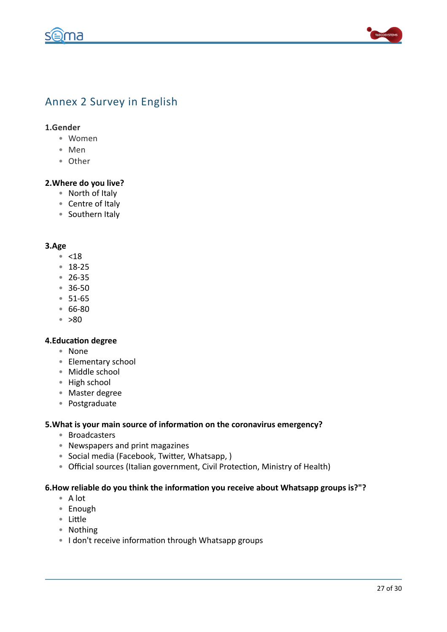na



# Annex 2 Survey in English

# 1.Gender

- Women
- Men
- Other

### **2. Where do you live?**

- North of Italy
- Centre of Italy
- Southern Italy

#### **3.Age**

- <18
- 18-25
- 26-35
- 36-50
- 51-65
- 66-80
- >80

### **4.Education degree**

- None
- Elementary school
- Middle school
- High school
- Master degree
- Postgraduate

#### 5. What is your main source of information on the coronavirus emergency?

- Broadcasters
- Newspapers and print magazines
- Social media (Facebook, Twitter, Whatsapp,)
- Official sources (Italian government, Civil Protection, Ministry of Health)

### 6. How reliable do you think the information you receive about Whatsapp groups is?"?

- A lot
- Enough
- Little
- Nothing
- I don't receive information through Whatsapp groups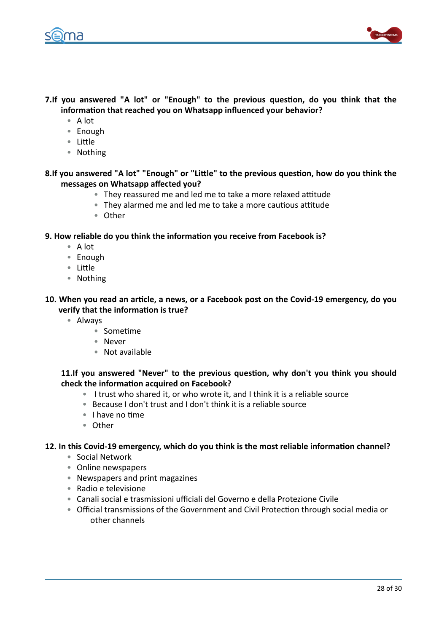



- **7.If you answered "A lot" or "Enough" to the previous question, do you think that the** information that reached you on Whatsapp influenced your behavior?
	- A lot
	- Enough
	- Little
	- Nothing

8.If you answered "A lot" "Enough" or "Little" to the previous question, how do you think the messages on Whatsapp affected you?

- They reassured me and led me to take a more relaxed attitude
- They alarmed me and led me to take a more cautious attitude
- Other

# **9. How reliable do you think the information you receive from Facebook is?**

- A lot
- Enough
- Little
- Nothing

10. When you read an article, a news, or a Facebook post on the Covid-19 emergency, do you **verify that the information is true?** 

- Always
	- $•$  Sometime
	- Never
	- $\bullet$  Not available

# **11.If you answered "Never" to the previous question, why don't you think you should** check the information acquired on Facebook?

- I trust who shared it, or who wrote it, and I think it is a reliable source
- Because I don't trust and I don't think it is a reliable source
- I have no time
- Other

# 12. In this Covid-19 emergency, which do you think is the most reliable information channel?

- Social Network
- Online newspapers
- Newspapers and print magazines
- Radio e televisione
- Canali social e trasmissioni ufficiali del Governo e della Protezione Civile
- Official transmissions of the Government and Civil Protection through social media or other channels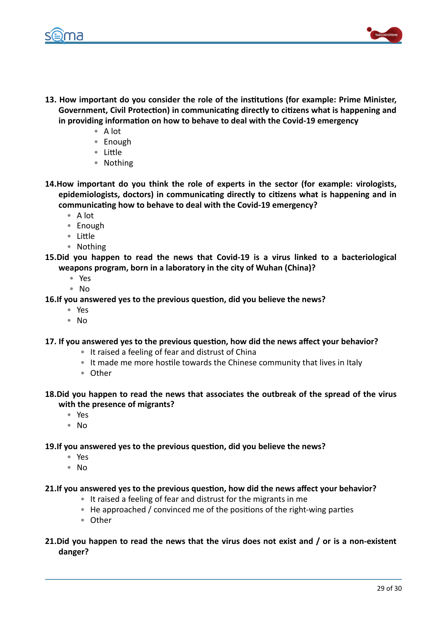



- **13.** How important do you consider the role of the institutions (for example: Prime Minister, Government, Civil Protection) in communicating directly to citizens what is happening and in providing information on how to behave to deal with the Covid-19 emergency
	- A lot
	- Enough
	- Little
	- Nothing
- **14.How important do you think the role of experts in the sector (for example: virologists,** epidemiologists, doctors) in communicating directly to citizens what is happening and in communicating how to behave to deal with the Covid-19 emergency?
	- A lot
	- Enough
	- Little
	- Nothing
- 15. Did you happen to read the news that Covid-19 is a virus linked to a bacteriological weapons program, born in a laboratory in the city of Wuhan (China)?
	- Yes
	- No
- **16.If you answered yes to the previous question, did you believe the news?** 
	- Yes
	- No

# 17. If you answered yes to the previous question, how did the news affect your behavior?

- It raised a feeling of fear and distrust of China
- It made me more hostile towards the Chinese community that lives in Italy
- Other
- **18.Did you happen to read the news that associates the outbreak of the spread of the virus** with the presence of migrants?
	- Yes
	- No

# 19.If you answered yes to the previous question, did you believe the news?

- Yes
- No

# **21.If you answered yes to the previous question, how did the news affect your behavior?**

- $\bullet$  It raised a feeling of fear and distrust for the migrants in me
- He approached / convinced me of the positions of the right-wing parties
- Other

# **21. Did you happen to read the news that the virus does not exist and / or is a non-existent danger?**